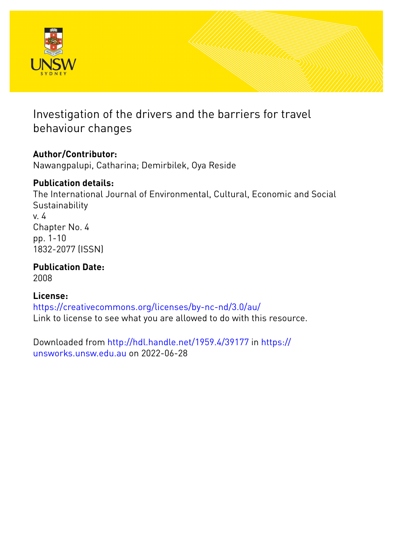

# Investigation of the drivers and the barriers for travel behaviour changes

# **Author/Contributor:**

Nawangpalupi, Catharina; Demirbilek, Oya Reside

## **Publication details:**

The International Journal of Environmental, Cultural, Economic and Social **Sustainability** v. 4 Chapter No. 4 pp. 1-10 1832-2077 (ISSN)

**Publication Date:** 2008

# **License:**

<https://creativecommons.org/licenses/by-nc-nd/3.0/au/> Link to license to see what you are allowed to do with this resource.

Downloaded from <http://hdl.handle.net/1959.4/39177> in [https://](https://unsworks.unsw.edu.au) [unsworks.unsw.edu.au](https://unsworks.unsw.edu.au) on 2022-06-28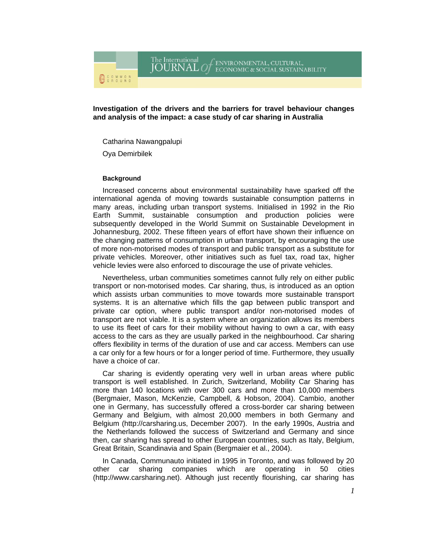The International<br>JOURNAL O CENVIRONMENTAL, CULTURAL,<br>ECONOMIC & SOCIAL SUSTAINABILITY

**Investigation of the drivers and the barriers for travel behaviour changes and analysis of the impact: a case study of car sharing in Australia** 

Catharina Nawangpalupi

Oya Demirbilek

#### **Background**

Increased concerns about environmental sustainability have sparked off the international agenda of moving towards sustainable consumption patterns in many areas, including urban transport systems. Initialised in 1992 in the Rio Earth Summit, sustainable consumption and production policies were subsequently developed in the World Summit on Sustainable Development in Johannesburg, 2002. These fifteen years of effort have shown their influence on the changing patterns of consumption in urban transport, by encouraging the use of more non-motorised modes of transport and public transport as a substitute for private vehicles. Moreover, other initiatives such as fuel tax, road tax, higher vehicle levies were also enforced to discourage the use of private vehicles.

Nevertheless, urban communities sometimes cannot fully rely on either public transport or non-motorised modes. Car sharing, thus, is introduced as an option which assists urban communities to move towards more sustainable transport systems. It is an alternative which fills the gap between public transport and private car option, where public transport and/or non-motorised modes of transport are not viable. It is a system where an organization allows its members to use its fleet of cars for their mobility without having to own a car, with easy access to the cars as they are usually parked in the neighbourhood. Car sharing offers flexibility in terms of the duration of use and car access. Members can use a car only for a few hours or for a longer period of time. Furthermore, they usually have a choice of car.

Car sharing is evidently operating very well in urban areas where public transport is well established. In Zurich, Switzerland, Mobility Car Sharing has more than 140 locations with over 300 cars and more than 10,000 members (Bergmaier, Mason, McKenzie, Campbell, & Hobson, 2004). Cambio, another one in Germany, has successfully offered a cross-border car sharing between Germany and Belgium, with almost 20,000 members in both Germany and Belgium (http://carsharing.us, December 2007). In the early 1990s, Austria and the Netherlands followed the success of Switzerland and Germany and since then, car sharing has spread to other European countries, such as Italy, Belgium, Great Britain, Scandinavia and Spain (Bergmaier et al., 2004).

In Canada, Communauto initiated in 1995 in Toronto, and was followed by 20 other car sharing companies which are operating in 50 cities (http://www.carsharing.net). Although just recently flourishing, car sharing has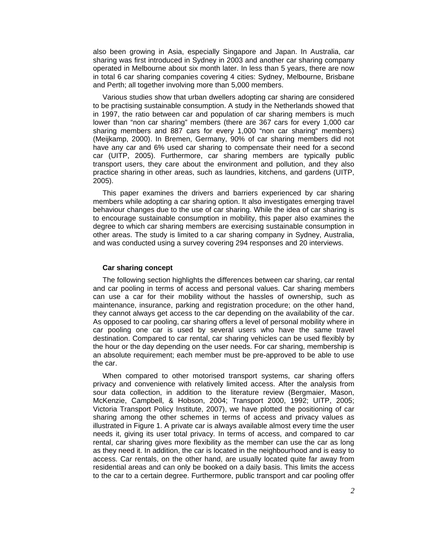also been growing in Asia, especially Singapore and Japan. In Australia, car sharing was first introduced in Sydney in 2003 and another car sharing company operated in Melbourne about six month later. In less than 5 years, there are now in total 6 car sharing companies covering 4 cities: Sydney, Melbourne, Brisbane and Perth; all together involving more than 5,000 members.

Various studies show that urban dwellers adopting car sharing are considered to be practising sustainable consumption. A study in the Netherlands showed that in 1997, the ratio between car and population of car sharing members is much lower than "non car sharing" members (there are 367 cars for every 1,000 car sharing members and 887 cars for every 1,000 "non car sharing" members) (Meijkamp, 2000). In Bremen, Germany, 90% of car sharing members did not have any car and 6% used car sharing to compensate their need for a second car (UITP, 2005). Furthermore, car sharing members are typically public transport users, they care about the environment and pollution, and they also practice sharing in other areas, such as laundries, kitchens, and gardens (UITP, 2005).

This paper examines the drivers and barriers experienced by car sharing members while adopting a car sharing option. It also investigates emerging travel behaviour changes due to the use of car sharing. While the idea of car sharing is to encourage sustainable consumption in mobility, this paper also examines the degree to which car sharing members are exercising sustainable consumption in other areas. The study is limited to a car sharing company in Sydney, Australia, and was conducted using a survey covering 294 responses and 20 interviews.

### **Car sharing concept**

The following section highlights the differences between car sharing, car rental and car pooling in terms of access and personal values. Car sharing members can use a car for their mobility without the hassles of ownership, such as maintenance, insurance, parking and registration procedure; on the other hand, they cannot always get access to the car depending on the availability of the car. As opposed to car pooling, car sharing offers a level of personal mobility where in car pooling one car is used by several users who have the same travel destination. Compared to car rental, car sharing vehicles can be used flexibly by the hour or the day depending on the user needs. For car sharing, membership is an absolute requirement; each member must be pre-approved to be able to use the car.

When compared to other motorised transport systems, car sharing offers privacy and convenience with relatively limited access. After the analysis from sour data collection, in addition to the literature review (Bergmaier, Mason, McKenzie, Campbell, & Hobson, 2004; Transport 2000, 1992; UITP, 2005; Victoria Transport Policy Institute, 2007), we have plotted the positioning of car sharing among the other schemes in terms of access and privacy values as illustrated in Figure 1. A private car is always available almost every time the user needs it, giving its user total privacy. In terms of access, and compared to car rental, car sharing gives more flexibility as the member can use the car as long as they need it. In addition, the car is located in the neighbourhood and is easy to access. Car rentals, on the other hand, are usually located quite far away from residential areas and can only be booked on a daily basis. This limits the access to the car to a certain degree. Furthermore, public transport and car pooling offer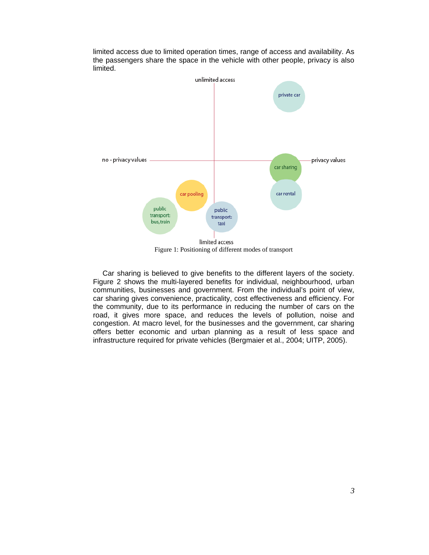

limited access due to limited operation times, range of access and availability. As the passengers share the space in the vehicle with other people, privacy is also limited.

Figure 1: Positioning of different modes of transport

Car sharing is believed to give benefits to the different layers of the society. Figure 2 shows the multi-layered benefits for individual, neighbourhood, urban communities, businesses and government. From the individual's point of view, car sharing gives convenience, practicality, cost effectiveness and efficiency. For the community, due to its performance in reducing the number of cars on the road, it gives more space, and reduces the levels of pollution, noise and congestion. At macro level, for the businesses and the government, car sharing offers better economic and urban planning as a result of less space and infrastructure required for private vehicles (Bergmaier et al., 2004; UITP, 2005).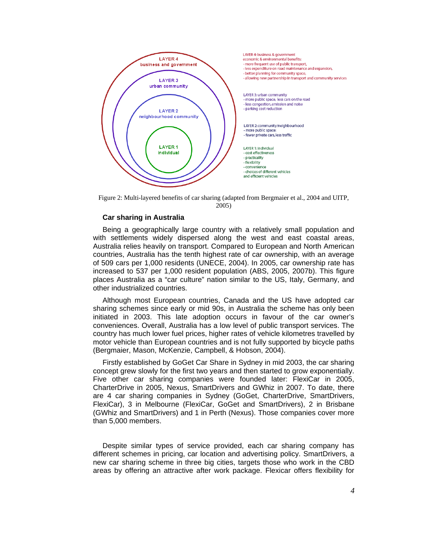

Figure 2: Multi-layered benefits of car sharing (adapted from Bergmaier et al., 2004 and UITP, 2005)

### **Car sharing in Australia**

Being a geographically large country with a relatively small population and with settlements widely dispersed along the west and east coastal areas, Australia relies heavily on transport. Compared to European and North American countries, Australia has the tenth highest rate of car ownership, with an average of 509 cars per 1,000 residents (UNECE, 2004). In 2005, car ownership rate has increased to 537 per 1,000 resident population (ABS, 2005, 2007b). This figure places Australia as a "car culture" nation similar to the US, Italy, Germany, and other industrialized countries.

Although most European countries, Canada and the US have adopted car sharing schemes since early or mid 90s, in Australia the scheme has only been initiated in 2003. This late adoption occurs in favour of the car owner's conveniences. Overall, Australia has a low level of public transport services. The country has much lower fuel prices, higher rates of vehicle kilometres travelled by motor vehicle than European countries and is not fully supported by bicycle paths (Bergmaier, Mason, McKenzie, Campbell, & Hobson, 2004).

Firstly established by GoGet Car Share in Sydney in mid 2003, the car sharing concept grew slowly for the first two years and then started to grow exponentially. Five other car sharing companies were founded later: FlexiCar in 2005, CharterDrive in 2005, Nexus, SmartDrivers and GWhiz in 2007. To date, there are 4 car sharing companies in Sydney (GoGet, CharterDrive, SmartDrivers, FlexiCar), 3 in Melbourne (FlexiCar, GoGet and SmartDrivers), 2 in Brisbane (GWhiz and SmartDrivers) and 1 in Perth (Nexus). Those companies cover more than 5,000 members.

Despite similar types of service provided, each car sharing company has different schemes in pricing, car location and advertising policy. SmartDrivers, a new car sharing scheme in three big cities, targets those who work in the CBD areas by offering an attractive after work package. Flexicar offers flexibility for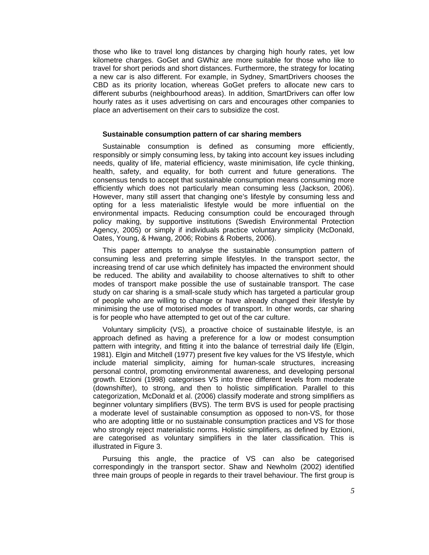those who like to travel long distances by charging high hourly rates, yet low kilometre charges. GoGet and GWhiz are more suitable for those who like to travel for short periods and short distances. Furthermore, the strategy for locating a new car is also different. For example, in Sydney, SmartDrivers chooses the CBD as its priority location, whereas GoGet prefers to allocate new cars to different suburbs (neighbourhood areas). In addition, SmartDrivers can offer low hourly rates as it uses advertising on cars and encourages other companies to place an advertisement on their cars to subsidize the cost.

#### **Sustainable consumption pattern of car sharing members**

Sustainable consumption is defined as consuming more efficiently, responsibly or simply consuming less, by taking into account key issues including needs, quality of life, material efficiency, waste minimisation, life cycle thinking, health, safety, and equality, for both current and future generations. The consensus tends to accept that sustainable consumption means consuming more efficiently which does not particularly mean consuming less (Jackson, 2006). However, many still assert that changing one's lifestyle by consuming less and opting for a less materialistic lifestyle would be more influential on the environmental impacts. Reducing consumption could be encouraged through policy making, by supportive institutions (Swedish Environmental Protection Agency, 2005) or simply if individuals practice voluntary simplicity (McDonald, Oates, Young, & Hwang, 2006; Robins & Roberts, 2006).

This paper attempts to analyse the sustainable consumption pattern of consuming less and preferring simple lifestyles. In the transport sector, the increasing trend of car use which definitely has impacted the environment should be reduced. The ability and availability to choose alternatives to shift to other modes of transport make possible the use of sustainable transport. The case study on car sharing is a small-scale study which has targeted a particular group of people who are willing to change or have already changed their lifestyle by minimising the use of motorised modes of transport. In other words, car sharing is for people who have attempted to get out of the car culture.

Voluntary simplicity (VS), a proactive choice of sustainable lifestyle, is an approach defined as having a preference for a low or modest consumption pattern with integrity, and fitting it into the balance of terrestrial daily life (Elgin, 1981). Elgin and Mitchell (1977) present five key values for the VS lifestyle, which include material simplicity, aiming for human-scale structures, increasing personal control, promoting environmental awareness, and developing personal growth. Etzioni (1998) categorises VS into three different levels from moderate (downshifter), to strong, and then to holistic simplification. Parallel to this categorization, McDonald et al. (2006) classify moderate and strong simplifiers as beginner voluntary simplifiers (BVS). The term BVS is used for people practising a moderate level of sustainable consumption as opposed to non-VS, for those who are adopting little or no sustainable consumption practices and VS for those who strongly reject materialistic norms. Holistic simplifiers, as defined by Etzioni, are categorised as voluntary simplifiers in the later classification. This is illustrated in Figure 3.

Pursuing this angle, the practice of VS can also be categorised correspondingly in the transport sector. Shaw and Newholm (2002) identified three main groups of people in regards to their travel behaviour. The first group is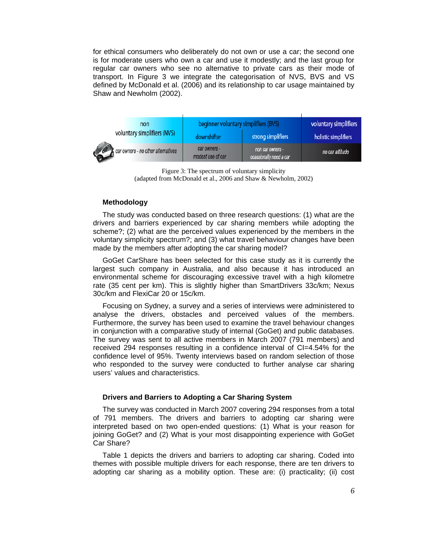for ethical consumers who deliberately do not own or use a car; the second one is for moderate users who own a car and use it modestly; and the last group for regular car owners who see no alternative to private cars as their mode of transport. In Figure 3 we integrate the categorisation of NVS, BVS and VS defined by McDonald et al. (2006) and its relationship to car usage maintained by Shaw and Newholm (2002).

| non<br>voluntary simplifiers (NVS) | beginner voluntary simplifiers (BVS) |                                             | voluntary simplifiers |
|------------------------------------|--------------------------------------|---------------------------------------------|-----------------------|
|                                    | downshifter                          | strong simplifiers                          | holistic simplifiers  |
| car owners - no other alternatives | car owners -<br>modest use of car    | non car owners -<br>ocassionally need a car | no car attitude       |

Figure 3: The spectrum of voluntary simplicity (adapted from McDonald et al., 2006 and Shaw & Newholm, 2002)

### **Methodology**

The study was conducted based on three research questions: (1) what are the drivers and barriers experienced by car sharing members while adopting the scheme?; (2) what are the perceived values experienced by the members in the voluntary simplicity spectrum?; and (3) what travel behaviour changes have been made by the members after adopting the car sharing model?

GoGet CarShare has been selected for this case study as it is currently the largest such company in Australia, and also because it has introduced an environmental scheme for discouraging excessive travel with a high kilometre rate (35 cent per km). This is slightly higher than SmartDrivers 33c/km; Nexus 30c/km and FlexiCar 20 or 15c/km.

Focusing on Sydney, a survey and a series of interviews were administered to analyse the drivers, obstacles and perceived values of the members. Furthermore, the survey has been used to examine the travel behaviour changes in conjunction with a comparative study of internal (GoGet) and public databases. The survey was sent to all active members in March 2007 (791 members) and received 294 responses resulting in a confidence interval of CI=4.54% for the confidence level of 95%. Twenty interviews based on random selection of those who responded to the survey were conducted to further analyse car sharing users' values and characteristics.

### **Drivers and Barriers to Adopting a Car Sharing System**

The survey was conducted in March 2007 covering 294 responses from a total of 791 members. The drivers and barriers to adopting car sharing were interpreted based on two open-ended questions: (1) What is your reason for joining GoGet? and (2) What is your most disappointing experience with GoGet Car Share?

Table 1 depicts the drivers and barriers to adopting car sharing. Coded into themes with possible multiple drivers for each response, there are ten drivers to adopting car sharing as a mobility option. These are: (i) practicality; (ii) cost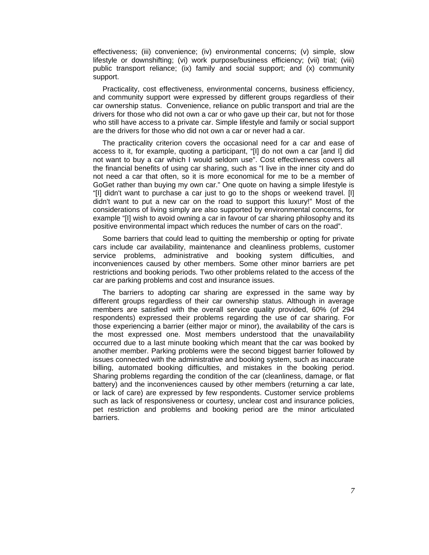effectiveness; (iii) convenience; (iv) environmental concerns; (v) simple, slow lifestyle or downshifting; (vi) work purpose/business efficiency; (vii) trial; (viii) public transport reliance; (ix) family and social support; and (x) community support.

Practicality, cost effectiveness, environmental concerns, business efficiency, and community support were expressed by different groups regardless of their car ownership status. Convenience, reliance on public transport and trial are the drivers for those who did not own a car or who gave up their car, but not for those who still have access to a private car. Simple lifestyle and family or social support are the drivers for those who did not own a car or never had a car.

The practicality criterion covers the occasional need for a car and ease of access to it, for example, quoting a participant, "[I] do not own a car [and I] did not want to buy a car which I would seldom use". Cost effectiveness covers all the financial benefits of using car sharing, such as "I live in the inner city and do not need a car that often, so it is more economical for me to be a member of GoGet rather than buying my own car." One quote on having a simple lifestyle is "[I] didn't want to purchase a car just to go to the shops or weekend travel. [I] didn't want to put a new car on the road to support this luxury!" Most of the considerations of living simply are also supported by environmental concerns, for example "[I] wish to avoid owning a car in favour of car sharing philosophy and its positive environmental impact which reduces the number of cars on the road".

Some barriers that could lead to quitting the membership or opting for private cars include car availability, maintenance and cleanliness problems, customer service problems, administrative and booking system difficulties, and inconveniences caused by other members. Some other minor barriers are pet restrictions and booking periods. Two other problems related to the access of the car are parking problems and cost and insurance issues.

The barriers to adopting car sharing are expressed in the same way by different groups regardless of their car ownership status. Although in average members are satisfied with the overall service quality provided, 60% (of 294 respondents) expressed their problems regarding the use of car sharing. For those experiencing a barrier (either major or minor), the availability of the cars is the most expressed one. Most members understood that the unavailability occurred due to a last minute booking which meant that the car was booked by another member. Parking problems were the second biggest barrier followed by issues connected with the administrative and booking system, such as inaccurate billing, automated booking difficulties, and mistakes in the booking period. Sharing problems regarding the condition of the car (cleanliness, damage, or flat battery) and the inconveniences caused by other members (returning a car late, or lack of care) are expressed by few respondents. Customer service problems such as lack of responsiveness or courtesy, unclear cost and insurance policies, pet restriction and problems and booking period are the minor articulated barriers.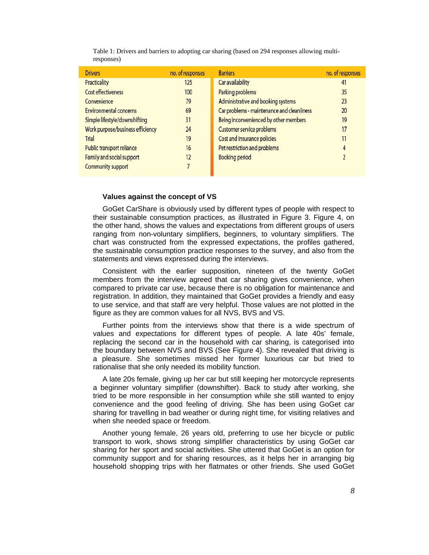| <b>Drivers</b>                   | no. of responses | <b>Barriers</b>                            | no. of responses |
|----------------------------------|------------------|--------------------------------------------|------------------|
| Practicality                     | 125              | Car availability                           | 41               |
| <b>Cost effectiveness</b>        | 100              | Parking problems                           | 35               |
| Convenience                      | 79               | Administrative and booking systems         | 23               |
| <b>Environmental concerns</b>    | 69               | Car problems - maintenance and cleanliness | 20               |
| Simple lifestyle/downshifting    | 31               | Being inconvenienced by other members      | 19               |
| Work purpose/business efficiency | 24               | Customer service problems                  | 17               |
| Trial                            | 19               | Cost and insurance policies                | 11               |
| Public transport reliance        | 16               | Pet restriction and problems               | 4                |
| Family and social support        | 12               | <b>Booking period</b>                      |                  |
| Community support                |                  |                                            |                  |

Table 1: Drivers and barriers to adopting car sharing (based on 294 responses allowing multiresponses)

#### **Values against the concept of VS**

GoGet CarShare is obviously used by different types of people with respect to their sustainable consumption practices, as illustrated in Figure 3. Figure 4, on the other hand, shows the values and expectations from different groups of users ranging from non-voluntary simplifiers, beginners, to voluntary simplifiers. The chart was constructed from the expressed expectations, the profiles gathered, the sustainable consumption practice responses to the survey, and also from the statements and views expressed during the interviews.

Consistent with the earlier supposition, nineteen of the twenty GoGet members from the interview agreed that car sharing gives convenience, when compared to private car use, because there is no obligation for maintenance and registration. In addition, they maintained that GoGet provides a friendly and easy to use service, and that staff are very helpful. Those values are not plotted in the figure as they are common values for all NVS, BVS and VS.

Further points from the interviews show that there is a wide spectrum of values and expectations for different types of people. A late 40s' female, replacing the second car in the household with car sharing, is categorised into the boundary between NVS and BVS (See Figure 4). She revealed that driving is a pleasure. She sometimes missed her former luxurious car but tried to rationalise that she only needed its mobility function.

A late 20s female, giving up her car but still keeping her motorcycle represents a beginner voluntary simplifier (downshifter). Back to study after working, she tried to be more responsible in her consumption while she still wanted to enjoy convenience and the good feeling of driving. She has been using GoGet car sharing for travelling in bad weather or during night time, for visiting relatives and when she needed space or freedom.

Another young female, 26 years old, preferring to use her bicycle or public transport to work, shows strong simplifier characteristics by using GoGet car sharing for her sport and social activities. She uttered that GoGet is an option for community support and for sharing resources, as it helps her in arranging big household shopping trips with her flatmates or other friends. She used GoGet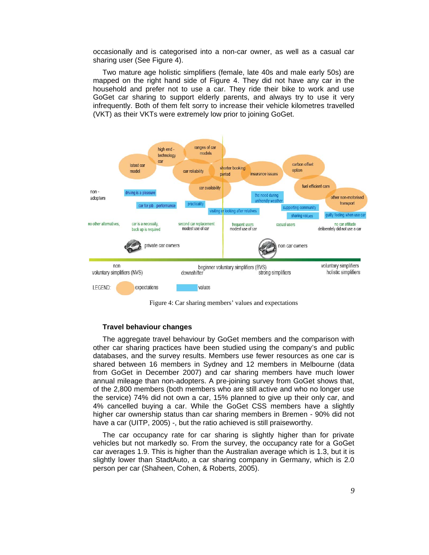occasionally and is categorised into a non-car owner, as well as a casual car sharing user (See Figure 4).

Two mature age holistic simplifiers (female, late 40s and male early 50s) are mapped on the right hand side of Figure 4. They did not have any car in the household and prefer not to use a car. They ride their bike to work and use GoGet car sharing to support elderly parents, and always try to use it very infrequently. Both of them felt sorry to increase their vehicle kilometres travelled (VKT) as their VKTs were extremely low prior to joining GoGet.



Figure 4: Car sharing members' values and expectations

### **Travel behaviour changes**

The aggregate travel behaviour by GoGet members and the comparison with other car sharing practices have been studied using the company's and public databases, and the survey results. Members use fewer resources as one car is shared between 16 members in Sydney and 12 members in Melbourne (data from GoGet in December 2007) and car sharing members have much lower annual mileage than non-adopters. A pre-joining survey from GoGet shows that, of the 2,800 members (both members who are still active and who no longer use the service) 74% did not own a car, 15% planned to give up their only car, and 4% cancelled buying a car. While the GoGet CSS members have a slightly higher car ownership status than car sharing members in Bremen - 90% did not have a car (UITP, 2005) -, but the ratio achieved is still praiseworthy.

The car occupancy rate for car sharing is slightly higher than for private vehicles but not markedly so. From the survey, the occupancy rate for a GoGet car averages 1.9. This is higher than the Australian average which is 1.3, but it is slightly lower than StadtAuto, a car sharing company in Germany, which is 2.0 person per car (Shaheen, Cohen, & Roberts, 2005).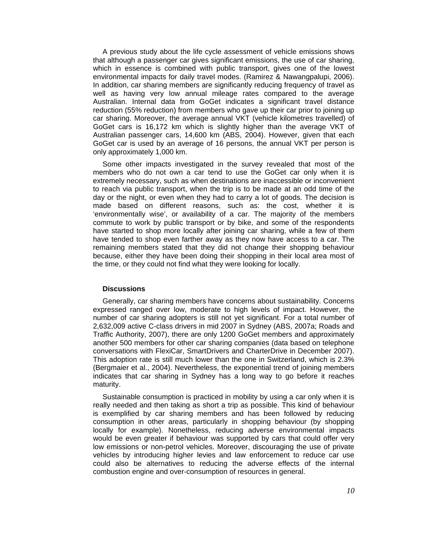A previous study about the life cycle assessment of vehicle emissions shows that although a passenger car gives significant emissions, the use of car sharing, which in essence is combined with public transport, gives one of the lowest environmental impacts for daily travel modes. (Ramirez & Nawangpalupi, 2006). In addition, car sharing members are significantly reducing frequency of travel as well as having very low annual mileage rates compared to the average Australian. Internal data from GoGet indicates a significant travel distance reduction (55% reduction) from members who gave up their car prior to joining up car sharing. Moreover, the average annual VKT (vehicle kilometres travelled) of GoGet cars is 16,172 km which is slightly higher than the average VKT of Australian passenger cars, 14,600 km (ABS, 2004). However, given that each GoGet car is used by an average of 16 persons, the annual VKT per person is only approximately 1,000 km.

Some other impacts investigated in the survey revealed that most of the members who do not own a car tend to use the GoGet car only when it is extremely necessary, such as when destinations are inaccessible or inconvenient to reach via public transport, when the trip is to be made at an odd time of the day or the night, or even when they had to carry a lot of goods. The decision is made based on different reasons, such as: the cost, whether it is 'environmentally wise', or availability of a car. The majority of the members commute to work by public transport or by bike, and some of the respondents have started to shop more locally after joining car sharing, while a few of them have tended to shop even farther away as they now have access to a car. The remaining members stated that they did not change their shopping behaviour because, either they have been doing their shopping in their local area most of the time, or they could not find what they were looking for locally.

#### **Discussions**

Generally, car sharing members have concerns about sustainability. Concerns expressed ranged over low, moderate to high levels of impact. However, the number of car sharing adopters is still not yet significant. For a total number of 2,632,009 active C-class drivers in mid 2007 in Sydney (ABS, 2007a; Roads and Traffic Authority, 2007), there are only 1200 GoGet members and approximately another 500 members for other car sharing companies (data based on telephone conversations with FlexiCar, SmartDrivers and CharterDrive in December 2007). This adoption rate is still much lower than the one in Switzerland, which is 2.3% (Bergmaier et al., 2004). Nevertheless, the exponential trend of joining members indicates that car sharing in Sydney has a long way to go before it reaches maturity.

Sustainable consumption is practiced in mobility by using a car only when it is really needed and then taking as short a trip as possible. This kind of behaviour is exemplified by car sharing members and has been followed by reducing consumption in other areas, particularly in shopping behaviour (by shopping locally for example). Nonetheless, reducing adverse environmental impacts would be even greater if behaviour was supported by cars that could offer very low emissions or non-petrol vehicles. Moreover, discouraging the use of private vehicles by introducing higher levies and law enforcement to reduce car use could also be alternatives to reducing the adverse effects of the internal combustion engine and over-consumption of resources in general.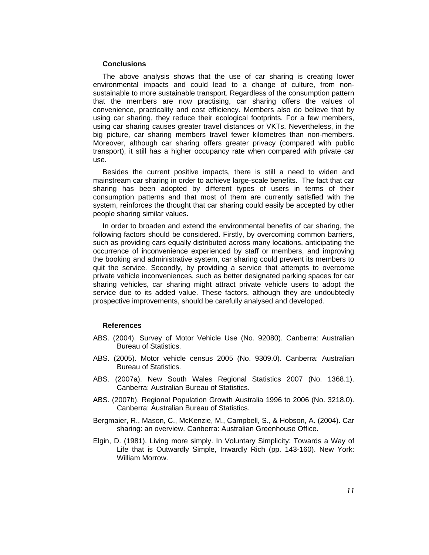#### **Conclusions**

The above analysis shows that the use of car sharing is creating lower environmental impacts and could lead to a change of culture, from nonsustainable to more sustainable transport. Regardless of the consumption pattern that the members are now practising, car sharing offers the values of convenience, practicality and cost efficiency. Members also do believe that by using car sharing, they reduce their ecological footprints. For a few members, using car sharing causes greater travel distances or VKTs. Nevertheless, in the big picture, car sharing members travel fewer kilometres than non-members. Moreover, although car sharing offers greater privacy (compared with public transport), it still has a higher occupancy rate when compared with private car use.

Besides the current positive impacts, there is still a need to widen and mainstream car sharing in order to achieve large-scale benefits. The fact that car sharing has been adopted by different types of users in terms of their consumption patterns and that most of them are currently satisfied with the system, reinforces the thought that car sharing could easily be accepted by other people sharing similar values.

In order to broaden and extend the environmental benefits of car sharing, the following factors should be considered. Firstly, by overcoming common barriers, such as providing cars equally distributed across many locations, anticipating the occurrence of inconvenience experienced by staff or members, and improving the booking and administrative system, car sharing could prevent its members to quit the service. Secondly, by providing a service that attempts to overcome private vehicle inconveniences, such as better designated parking spaces for car sharing vehicles, car sharing might attract private vehicle users to adopt the service due to its added value. These factors, although they are undoubtedly prospective improvements, should be carefully analysed and developed.

#### **References**

- ABS. (2004). Survey of Motor Vehicle Use (No. 92080). Canberra: Australian Bureau of Statistics.
- ABS. (2005). Motor vehicle census 2005 (No. 9309.0). Canberra: Australian Bureau of Statistics.
- ABS. (2007a). New South Wales Regional Statistics 2007 (No. 1368.1). Canberra: Australian Bureau of Statistics.
- ABS. (2007b). Regional Population Growth Australia 1996 to 2006 (No. 3218.0). Canberra: Australian Bureau of Statistics.
- Bergmaier, R., Mason, C., McKenzie, M., Campbell, S., & Hobson, A. (2004). Car sharing: an overview. Canberra: Australian Greenhouse Office.
- Elgin, D. (1981). Living more simply. In Voluntary Simplicity: Towards a Way of Life that is Outwardly Simple, Inwardly Rich (pp. 143-160). New York: William Morrow.